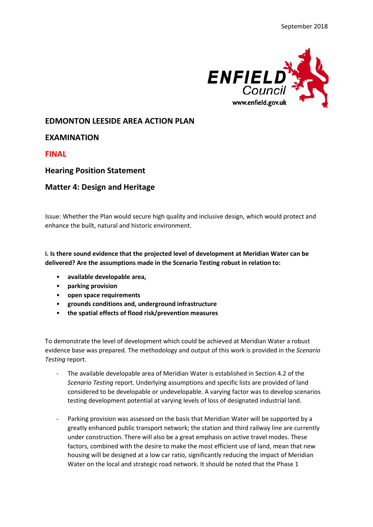

# **EDMONTON LEESIDE AREA ACTION PLAN**

# **EXAMINATION**

**FINAL**

# **Hearing Position Statement**

### **Matter 4: Design and Heritage**

Issue: Whether the Plan would secure high quality and inclusive design, which would protect and enhance the built, natural and historic environment.

### **i. Is there sound evidence that the projected level of development at Meridian Water can be delivered? Are the assumptions made in the Scenario Testing robust in relation to:**

- **available developable area,**
- **parking provision**
- **open space requirements**
- **grounds conditions and, underground infrastructure**
- **the spatial effects of flood risk/prevention measures**

To demonstrate the level of development which could be achieved at Meridian Water a robust evidence base was prepared. The methodology and output of this work is provided in the *Scenario Testing* report.

- The available developable area of Meridian Water is established in Section 4.2 of the *Scenario Testing* report. Underlying assumptions and specific lists are provided of land considered to be developable or undevelopable. A varying factor was to develop scenarios testing development potential at varying levels of loss of designated industrial land.
- Parking provision was assessed on the basis that Meridian Water will be supported by a greatly enhanced public transport network; the station and third railway line are currently under construction. There will also be a great emphasis on active travel modes. These factors, combined with the desire to make the most efficient use of land, mean that new housing will be designed at a low car ratio, significantly reducing the impact of Meridian Water on the local and strategic road network. It should be noted that the Phase 1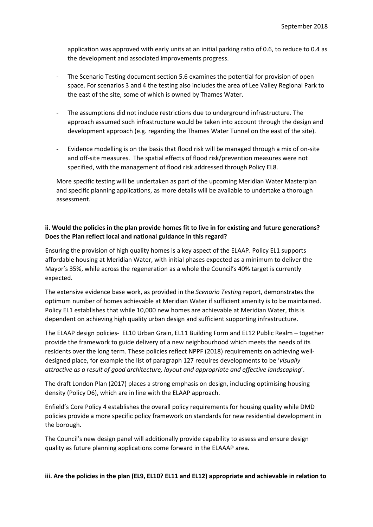application was approved with early units at an initial parking ratio of 0.6, to reduce to 0.4 as the development and associated improvements progress.

- The Scenario Testing document section 5.6 examines the potential for provision of open space. For scenarios 3 and 4 the testing also includes the area of Lee Valley Regional Park to the east of the site, some of which is owned by Thames Water.
- The assumptions did not include restrictions due to underground infrastructure. The approach assumed such infrastructure would be taken into account through the design and development approach (e.g. regarding the Thames Water Tunnel on the east of the site).
- Evidence modelling is on the basis that flood risk will be managed through a mix of on-site and off-site measures. The spatial effects of flood risk/prevention measures were not specified, with the management of flood risk addressed through Policy EL8.

More specific testing will be undertaken as part of the upcoming Meridian Water Masterplan and specific planning applications, as more details will be available to undertake a thorough assessment.

#### **ii. Would the policies in the plan provide homes fit to live in for existing and future generations? Does the Plan reflect local and national guidance in this regard?**

Ensuring the provision of high quality homes is a key aspect of the ELAAP. Policy EL1 supports affordable housing at Meridian Water, with initial phases expected as a minimum to deliver the Mayor's 35%, while across the regeneration as a whole the Council's 40% target is currently expected.

The extensive evidence base work, as provided in the *Scenario Testing* report, demonstrates the optimum number of homes achievable at Meridian Water if sufficient amenity is to be maintained. Policy EL1 establishes that while 10,000 new homes are achievable at Meridian Water, this is dependent on achieving high quality urban design and sufficient supporting infrastructure.

The ELAAP design policies- EL10 Urban Grain, EL11 Building Form and EL12 Public Realm – together provide the framework to guide delivery of a new neighbourhood which meets the needs of its residents over the long term. These policies reflect NPPF (2018) requirements on achieving welldesigned place, for example the list of paragraph 127 requires developments to be '*visually attractive as a result of good architecture, layout and appropriate and effective landscaping*'.

The draft London Plan (2017) places a strong emphasis on design, including optimising housing density (Policy D6), which are in line with the ELAAP approach.

Enfield's Core Policy 4 establishes the overall policy requirements for housing quality while DMD policies provide a more specific policy framework on standards for new residential development in the borough.

The Council's new design panel will additionally provide capability to assess and ensure design quality as future planning applications come forward in the ELAAAP area.

**iii. Are the policies in the plan (EL9, EL10? EL11 and EL12) appropriate and achievable in relation to**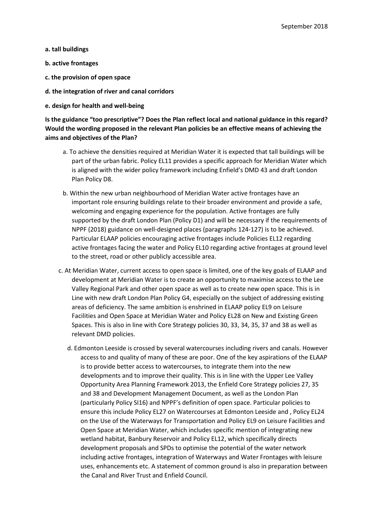- **a. tall buildings**
- **b. active frontages**
- **c. the provision of open space**
- **d. the integration of river and canal corridors**
- **e. design for health and well-being**

**Is the guidance "too prescriptive"? Does the Plan reflect local and national guidance in this regard? Would the wording proposed in the relevant Plan policies be an effective means of achieving the aims and objectives of the Plan?**

- a. To achieve the densities required at Meridian Water it is expected that tall buildings will be part of the urban fabric. Policy EL11 provides a specific approach for Meridian Water which is aligned with the wider policy framework including Enfield's DMD 43 and draft London Plan Policy D8.
- b. Within the new urban neighbourhood of Meridian Water active frontages have an important role ensuring buildings relate to their broader environment and provide a safe, welcoming and engaging experience for the population. Active frontages are fully supported by the draft London Plan (Policy D1) and will be necessary if the requirements of NPPF (2018) guidance on well-designed places (paragraphs 124-127) is to be achieved. Particular ELAAP policies encouraging active frontages include Policies EL12 regarding active frontages facing the water and Policy EL10 regarding active frontages at ground level to the street, road or other publicly accessible area.
- c. At Meridian Water, current access to open space is limited, one of the key goals of ELAAP and development at Meridian Water is to create an opportunity to maximise access to the Lee Valley Regional Park and other open space as well as to create new open space. This is in Line with new draft London Plan Policy G4, especially on the subject of addressing existing areas of deficiency. The same ambition is enshrined in ELAAP policy EL9 on Leisure Facilities and Open Space at Meridian Water and Policy EL28 on New and Existing Green Spaces. This is also in line with Core Strategy policies 30, 33, 34, 35, 37 and 38 as well as relevant DMD policies.
	- d. Edmonton Leeside is crossed by several watercourses including rivers and canals. However access to and quality of many of these are poor. One of the key aspirations of the ELAAP is to provide better access to watercourses, to integrate them into the new developments and to improve their quality. This is in line with the Upper Lee Valley Opportunity Area Planning Framework 2013, the Enfield Core Strategy policies 27, 35 and 38 and Development Management Document, as well as the London Plan (particularly Policy SI16) and NPPF's definition of open space. Particular policies to ensure this include Policy EL27 on Watercourses at Edmonton Leeside and , Policy EL24 on the Use of the Waterways for Transportation and Policy EL9 on Leisure Facilities and Open Space at Meridian Water, which includes specific mention of integrating new wetland habitat, Banbury Reservoir and Policy EL12, which specifically directs development proposals and SPDs to optimise the potential of the water network including active frontages, integration of Waterways and Water Frontages with leisure uses, enhancements etc. A statement of common ground is also in preparation between the Canal and River Trust and Enfield Council.